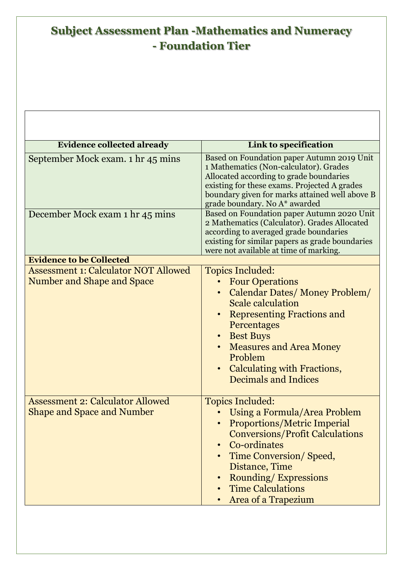## **Subject Assessment Plan -Mathematics and Numeracy - Foundation Tier**

 $\sqrt{ }$ 

| <b>Evidence collected already</b>                                            | Link to specification                                                                                                                                                                                                                                                                                     |  |
|------------------------------------------------------------------------------|-----------------------------------------------------------------------------------------------------------------------------------------------------------------------------------------------------------------------------------------------------------------------------------------------------------|--|
| September Mock exam. 1 hr 45 mins                                            | Based on Foundation paper Autumn 2019 Unit<br>1 Mathematics (Non-calculator). Grades<br>Allocated according to grade boundaries<br>existing for these exams. Projected A grades<br>boundary given for marks attained well above B<br>grade boundary. No A* awarded                                        |  |
| December Mock exam 1 hr 45 mins                                              | Based on Foundation paper Autumn 2020 Unit<br>2 Mathematics (Calculator). Grades Allocated<br>according to averaged grade boundaries<br>existing for similar papers as grade boundaries<br>were not available at time of marking.                                                                         |  |
| <b>Evidence to be Collected</b>                                              |                                                                                                                                                                                                                                                                                                           |  |
| <b>Assessment 1: Calculator NOT Allowed</b><br>Number and Shape and Space    | <b>Topics Included:</b><br><b>Four Operations</b><br>Calendar Dates/Money Problem/<br><b>Scale calculation</b><br><b>Representing Fractions and</b><br>Percentages<br>• Best Buys<br><b>Measures and Area Money</b><br>Problem<br>Calculating with Fractions,<br>$\bullet$<br><b>Decimals and Indices</b> |  |
| <b>Assessment 2: Calculator Allowed</b><br><b>Shape and Space and Number</b> | <b>Topics Included:</b><br>Using a Formula/Area Problem<br><b>Proportions/Metric Imperial</b><br><b>Conversions/Profit Calculations</b><br>Co-ordinates<br>$\bullet$<br>Time Conversion/Speed,<br>Distance, Time<br><b>Rounding/Expressions</b><br><b>Time Calculations</b><br>Area of a Trapezium        |  |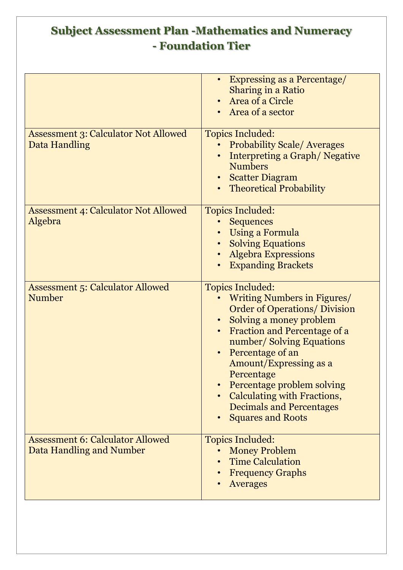## **Subject Assessment Plan -Mathematics and Numeracy - Foundation Tier**

|                                                                     | <b>Expressing as a Percentage/</b><br><b>Sharing in a Ratio</b><br>Area of a Circle<br>Area of a sector                                                                                                                                                                                                                                                                              |
|---------------------------------------------------------------------|--------------------------------------------------------------------------------------------------------------------------------------------------------------------------------------------------------------------------------------------------------------------------------------------------------------------------------------------------------------------------------------|
| <b>Assessment 3: Calculator Not Allowed</b><br>Data Handling        | <b>Topics Included:</b><br><b>Probability Scale/Averages</b><br>Interpreting a Graph/Negative<br><b>Numbers</b><br><b>Scatter Diagram</b><br><b>Theoretical Probability</b>                                                                                                                                                                                                          |
| <b>Assessment 4: Calculator Not Allowed</b><br>Algebra              | <b>Topics Included:</b><br><b>Sequences</b><br><b>Using a Formula</b><br><b>Solving Equations</b><br><b>Algebra Expressions</b><br><b>Expanding Brackets</b>                                                                                                                                                                                                                         |
| <b>Assessment 5: Calculator Allowed</b><br><b>Number</b>            | <b>Topics Included:</b><br><b>Writing Numbers in Figures/</b><br><b>Order of Operations/ Division</b><br>Solving a money problem<br>Fraction and Percentage of a<br>number/Solving Equations<br>Percentage of an<br>Amount/Expressing as a<br>Percentage<br>Percentage problem solving<br>Calculating with Fractions,<br><b>Decimals and Percentages</b><br><b>Squares and Roots</b> |
| <b>Assessment 6: Calculator Allowed</b><br>Data Handling and Number | <b>Topics Included:</b><br><b>Money Problem</b><br><b>Time Calculation</b><br><b>Frequency Graphs</b><br><b>Averages</b>                                                                                                                                                                                                                                                             |